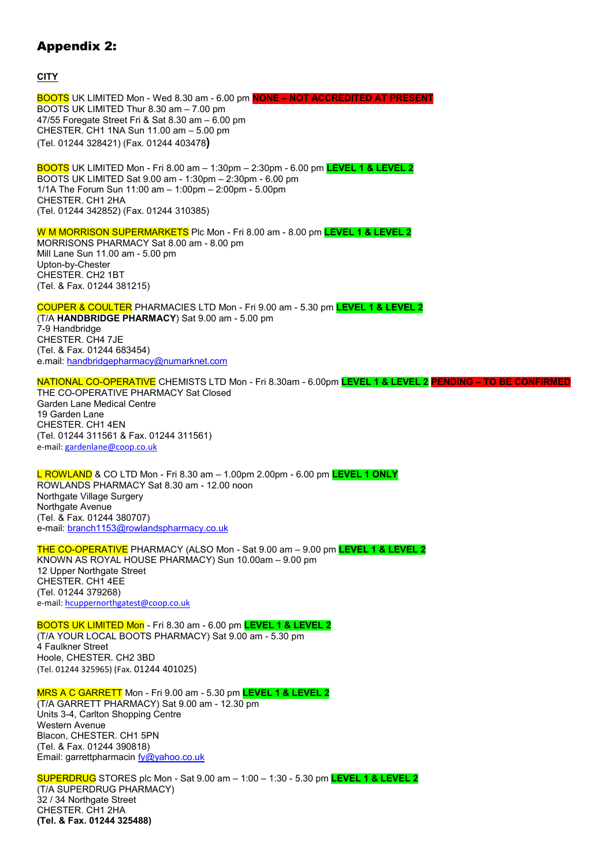## Appendix 2:

**CITY**

BOOTS UK LIMITED Mon - Wed 8.30 am - 6.00 pm **NONE – NOT ACCREDITED AT PRESENT** BOOTS UK LIMITED Thur 8.30 am – 7.00 pm 47/55 Foregate Street Fri & Sat 8.30 am – 6.00 pm CHESTER. CH1 1NA Sun 11.00 am – 5.00 pm (Tel. 01244 328421) (Fax. 01244 403478**)** 

BOOTS UK LIMITED Mon - Fri 8.00 am – 1:30pm – 2:30pm - 6.00 pm **LEVEL 1 & LEVEL 2** BOOTS UK LIMITED Sat 9.00 am - 1:30pm – 2:30pm - 6.00 pm 1/1A The Forum Sun 11:00 am – 1:00pm – 2:00pm - 5.00pm CHESTER. CH1 2HA (Tel. 01244 342852) (Fax. 01244 310385)

W M MORRISON SUPERMARKETS Plc Mon - Fri 8.00 am - 8.00 pm **LEVEL 1 & LEVEL 2** MORRISONS PHARMACY Sat 8.00 am - 8.00 pm Mill Lane Sun 11.00 am - 5.00 pm Upton-by-Chester CHESTER. CH2 1BT (Tel. & Fax. 01244 381215)

COUPER & COULTER PHARMACIES LTD Mon - Fri 9.00 am - 5.30 pm **LEVEL 1 & LEVEL 2** (T/A **HANDBRIDGE PHARMACY**) Sat 9.00 am - 5.00 pm 7-9 Handbridge CHESTER. CH4 7JE (Tel. & Fax. 01244 683454) e.mail: handbridgepharmacy@numarknet.com

NATIONAL CO-OPERATIVE CHEMISTS LTD Mon - Fri 8.30am - 6.00pm **LEVEL 1 & LEVEL 2 PENDING – TO BE CONFIRMED** THE CO-OPERATIVE PHARMACY Sat Closed Garden Lane Medical Centre 19 Garden Lane CHESTER. CH1 4EN (Tel. 01244 311561 & Fax. 01244 311561) e-mail: gardenlane@coop.co.uk

L ROWLAND & CO LTD Mon - Fri 8.30 am – 1.00pm 2.00pm - 6.00 pm **LEVEL 1 ONLY** ROWLANDS PHARMACY Sat 8.30 am - 12.00 noon Northgate Village Surgery Northgate Avenue (Tel. & Fax. 01244 380707) e-mail: branch1153@rowlandspharmacy.co.uk

THE CO-OPERATIVE PHARMACY (ALSO Mon - Sat 9.00 am – 9.00 pm **LEVEL 1 & LEVEL 2** KNOWN AS ROYAL HOUSE PHARMACY) Sun 10.00am – 9.00 pm 12 Upper Northgate Street CHESTER. CH1 4EE (Tel. 01244 379268) e-mail: hcuppernorthgatest@coop.co.uk

BOOTS UK LIMITED Mon - Fri 8.30 am - 6.00 pm **LEVEL 1 & LEVEL 2** (T/A YOUR LOCAL BOOTS PHARMACY) Sat 9.00 am - 5.30 pm 4 Faulkner Street Hoole, CHESTER. CH2 3BD (Tel. 01244 325965) (Fax. 01244 401025)

MRS A C GARRETT Mon - Fri 9.00 am - 5.30 pm **LEVEL 1 & LEVEL 2** (T/A GARRETT PHARMACY) Sat 9.00 am - 12.30 pm Units 3-4, Carlton Shopping Centre Western Avenue Blacon, CHESTER. CH1 5PN (Tel. & Fax. 01244 390818) Email: garrettpharmacin fy@yahoo.co.uk

SUPERDRUG STORES plc Mon - Sat 9.00 am – 1:00 – 1:30 - 5.30 pm **LEVEL 1 & LEVEL 2** (T/A SUPERDRUG PHARMACY) 32 / 34 Northgate Street CHESTER. CH1 2HA **(Tel. & Fax. 01244 325488)**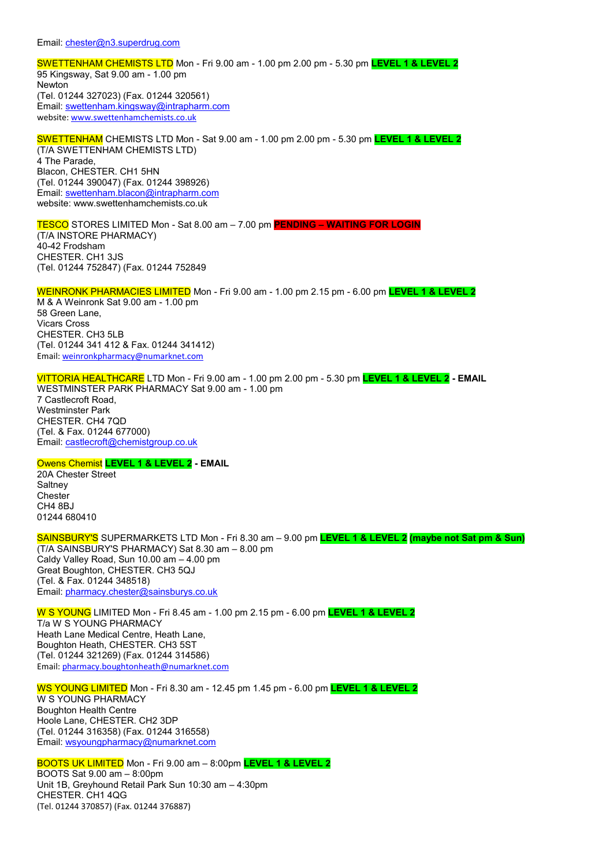SWETTENHAM CHEMISTS LTD Mon - Fri 9.00 am - 1.00 pm 2.00 pm - 5.30 pm **LEVEL 1 & LEVEL 2** 95 Kingsway, Sat 9.00 am - 1.00 pm Newton (Tel. 01244 327023) (Fax. 01244 320561) Email: swettenham.kingsway@intrapharm.com website: www.swettenhamchemists.co.uk

SWETTENHAM CHEMISTS LTD Mon - Sat 9.00 am - 1.00 pm 2.00 pm - 5.30 pm **LEVEL 1 & LEVEL 2** (T/A SWETTENHAM CHEMISTS LTD) 4 The Parade, Blacon, CHESTER. CH1 5HN (Tel. 01244 390047) (Fax. 01244 398926) Email: swettenham.blacon@intrapharm.com website: www.swettenhamchemists.co.uk

TESCO STORES LIMITED Mon - Sat 8.00 am – 7.00 pm **PENDING – WAITING FOR LOGIN** (T/A INSTORE PHARMACY) 40-42 Frodsham CHESTER. CH1 3JS (Tel. 01244 752847) (Fax. 01244 752849

WEINRONK PHARMACIES LIMITED Mon - Fri 9.00 am - 1.00 pm 2.15 pm - 6.00 pm **LEVEL 1 & LEVEL 2** M & A Weinronk Sat 9.00 am - 1.00 pm 58 Green Lane, Vicars Cross CHESTER. CH3 5LB (Tel. 01244 341 412 & Fax. 01244 341412) Email: weinronkpharmacy@numarknet.com

VITTORIA HEALTHCARE LTD Mon - Fri 9.00 am - 1.00 pm 2.00 pm - 5.30 pm **LEVEL 1 & LEVEL 2 - EMAIL** WESTMINSTER PARK PHARMACY Sat 9.00 am - 1.00 pm 7 Castlecroft Road, Westminster Park CHESTER. CH4 7QD (Tel. & Fax. 01244 677000) Email: castlecroft@chemistgroup.co.uk

## Owens Chemist **LEVEL 1 & LEVEL 2 - EMAIL**

20A Chester Street **Saltney Chester** CH4 8BJ 01244 680410

SAINSBURY'S SUPERMARKETS LTD Mon - Fri 8.30 am – 9.00 pm **LEVEL 1 & LEVEL 2 (maybe not Sat pm & Sun)** (T/A SAINSBURY'S PHARMACY) Sat 8.30 am – 8.00 pm Caldy Valley Road, Sun 10.00 am – 4.00 pm Great Boughton, CHESTER. CH3 5QJ (Tel. & Fax. 01244 348518) Email: pharmacy.chester@sainsburys.co.uk

W S YOUNG LIMITED Mon - Fri 8.45 am - 1.00 pm 2.15 pm - 6.00 pm **LEVEL 1 & LEVEL 2** T/a W S YOUNG PHARMACY Heath Lane Medical Centre, Heath Lane, Boughton Heath, CHESTER. CH3 5ST (Tel. 01244 321269) (Fax. 01244 314586) Email: pharmacy.boughtonheath@numarknet.com

WS YOUNG LIMITED Mon - Fri 8.30 am - 12.45 pm 1.45 pm - 6.00 pm **LEVEL 1 & LEVEL 2** W S YOUNG PHARMACY Boughton Health Centre Hoole Lane, CHESTER. CH2 3DP (Tel. 01244 316358) (Fax. 01244 316558) Email: wsyoungpharmacy@numarknet.com

BOOTS UK LIMITED Mon - Fri 9.00 am – 8:00pm **LEVEL 1 & LEVEL 2** BOOTS Sat 9.00 am – 8:00pm Unit 1B, Greyhound Retail Park Sun 10:30 am – 4:30pm CHESTER. CH1 4QG (Tel. 01244 370857) (Fax. 01244 376887)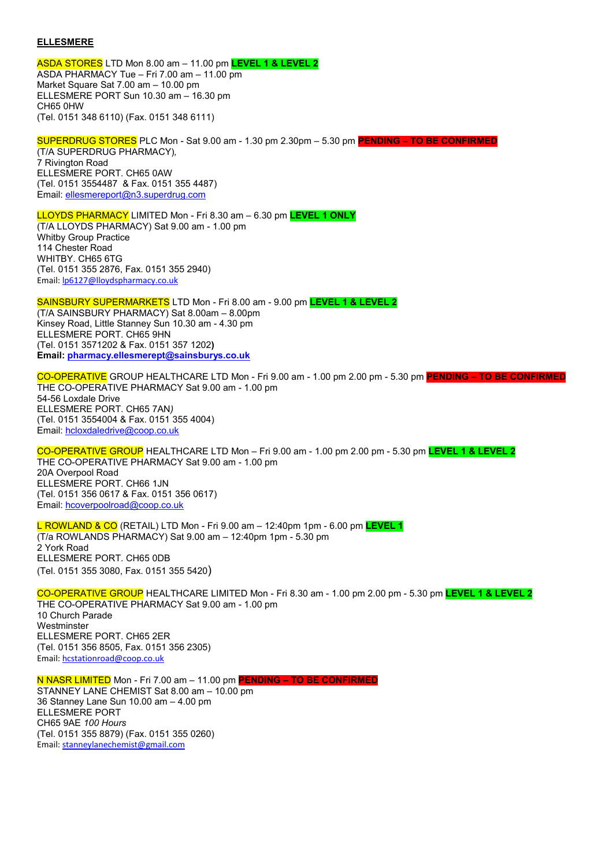## **ELLESMERE**

ASDA STORES LTD Mon 8.00 am – 11.00 pm **LEVEL 1 & LEVEL 2** ASDA PHARMACY Tue – Fri 7.00 am – 11.00 pm Market Square Sat 7.00 am – 10.00 pm ELLESMERE PORT Sun 10.30 am – 16.30 pm CH65 0HW (Tel. 0151 348 6110) (Fax. 0151 348 6111)

SUPERDRUG STORES PLC Mon - Sat 9.00 am - 1.30 pm 2.30pm – 5.30 pm **PENDING – TO BE CONFIRMED** (T/A SUPERDRUG PHARMACY)*,*  7 Rivington Road ELLESMERE PORT. CH65 0AW (Tel. 0151 3554487 & Fax. 0151 355 4487) Email: ellesmereport@n3.superdrug.com

LLOYDS PHARMACY LIMITED Mon - Fri 8.30 am – 6.30 pm **LEVEL 1 ONLY** (T/A LLOYDS PHARMACY) Sat 9.00 am - 1.00 pm Whitby Group Practice 114 Chester Road WHITBY. CH65 6TG (Tel. 0151 355 2876, Fax. 0151 355 2940) Email: lp6127@lloydspharmacy.co.uk

SAINSBURY SUPERMARKETS LTD Mon - Fri 8.00 am - 9.00 pm **LEVEL 1 & LEVEL 2** (T/A SAINSBURY PHARMACY) Sat 8.00am – 8.00pm Kinsey Road, Little Stanney Sun 10.30 am - 4.30 pm ELLESMERE PORT. CH65 9HN (Tel. 0151 3571202 & Fax. 0151 357 1202**) Email: pharmacy.ellesmerept@sainsburys.co.uk**

CO-OPERATIVE GROUP HEALTHCARE LTD Mon - Fri 9.00 am - 1.00 pm 2.00 pm - 5.30 pm **PENDING – TO BE CONFIRMED** THE CO-OPERATIVE PHARMACY Sat 9.00 am - 1.00 pm 54-56 Loxdale Drive ELLESMERE PORT. CH65 7AN*)*  (Tel. 0151 3554004 & Fax. 0151 355 4004) Email: hcloxdaledrive@coop.co.uk

CO-OPERATIVE GROUP HEALTHCARE LTD Mon – Fri 9.00 am - 1.00 pm 2.00 pm - 5.30 pm **LEVEL 1 & LEVEL 2** THE CO-OPERATIVE PHARMACY Sat 9.00 am - 1.00 pm 20A Overpool Road ELLESMERE PORT. CH66 1JN (Tel. 0151 356 0617 & Fax. 0151 356 0617) Email: hcoverpoolroad@coop.co.uk

L ROWLAND & CO (RETAIL) LTD Mon - Fri 9.00 am – 12:40pm 1pm - 6.00 pm **LEVEL 1** (T/a ROWLANDS PHARMACY) Sat 9.00 am – 12:40pm 1pm - 5.30 pm 2 York Road ELLESMERE PORT. CH65 0DB (Tel. 0151 355 3080, Fax. 0151 355 5420)

CO-OPERATIVE GROUP HEALTHCARE LIMITED Mon - Fri 8.30 am - 1.00 pm 2.00 pm - 5.30 pm **LEVEL 1 & LEVEL 2** THE CO-OPERATIVE PHARMACY Sat 9.00 am - 1.00 pm 10 Church Parade **Westminster** ELLESMERE PORT. CH65 2ER (Tel. 0151 356 8505, Fax. 0151 356 2305) Email: hcstationroad@coop.co.uk

N NASR LIMITED Mon - Fri 7.00 am – 11.00 pm **PENDING – TO BE CONFIRMED** STANNEY LANE CHEMIST Sat 8.00 am – 10.00 pm 36 Stanney Lane Sun 10.00 am – 4.00 pm ELLESMERE PORT CH65 9AE *100 Hours*  (Tel. 0151 355 8879) (Fax. 0151 355 0260) Email: stanneylanechemist@gmail.com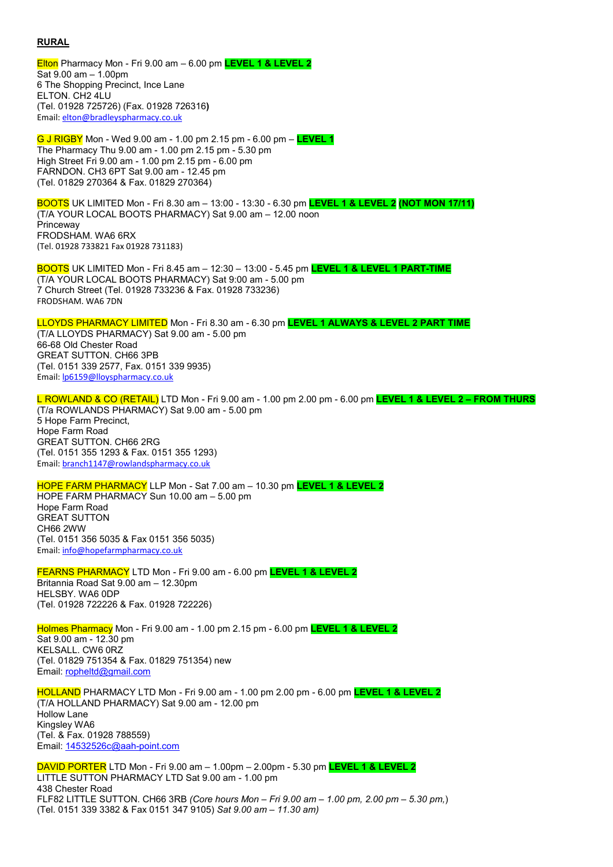## **RURAL**

Elton Pharmacy Mon - Fri 9.00 am – 6.00 pm **LEVEL 1 & LEVEL 2** Sat 9.00 am – 1.00pm 6 The Shopping Precinct, Ince Lane ELTON. CH2 4LU (Tel. 01928 725726) (Fax. 01928 726316**)**  Email: elton@bradleyspharmacy.co.uk

G J RIGBY Mon - Wed 9.00 am - 1.00 pm 2.15 pm - 6.00 pm – **LEVEL 1** The Pharmacy Thu 9.00 am - 1.00 pm 2.15 pm - 5.30 pm High Street Fri 9.00 am - 1.00 pm 2.15 pm - 6.00 pm FARNDON. CH3 6PT Sat 9.00 am - 12.45 pm (Tel. 01829 270364 & Fax. 01829 270364)

BOOTS UK LIMITED Mon - Fri 8.30 am – 13:00 - 13:30 - 6.30 pm **LEVEL 1 & LEVEL 2 (NOT MON 17/11)** (T/A YOUR LOCAL BOOTS PHARMACY) Sat 9.00 am – 12.00 noon Princeway FRODSHAM. WA6 6RX (Tel. 01928 733821 Fax 01928 731183)

BOOTS UK LIMITED Mon - Fri 8.45 am – 12:30 – 13:00 - 5.45 pm **LEVEL 1 & LEVEL 1 PART-TIME** (T/A YOUR LOCAL BOOTS PHARMACY) Sat 9:00 am - 5.00 pm 7 Church Street (Tel. 01928 733236 & Fax. 01928 733236) FRODSHAM. WA6 7DN

LLOYDS PHARMACY LIMITED Mon - Fri 8.30 am - 6.30 pm **LEVEL 1 ALWAYS & LEVEL 2 PART TIME** (T/A LLOYDS PHARMACY) Sat 9.00 am - 5.00 pm 66-68 Old Chester Road GREAT SUTTON. CH66 3PB (Tel. 0151 339 2577, Fax. 0151 339 9935) Email: lp6159@lloyspharmacy.co.uk

L ROWLAND & CO (RETAIL) LTD Mon - Fri 9.00 am - 1.00 pm 2.00 pm - 6.00 pm **LEVEL 1 & LEVEL 2 – FROM THURS** (T/a ROWLANDS PHARMACY) Sat 9.00 am - 5.00 pm 5 Hope Farm Precinct, Hope Farm Road GREAT SUTTON. CH66 2RG (Tel. 0151 355 1293 & Fax. 0151 355 1293) Email: branch1147@rowlandspharmacy.co.uk

HOPE FARM PHARMACY LLP Mon - Sat 7.00 am – 10.30 pm **LEVEL 1 & LEVEL 2** HOPE FARM PHARMACY Sun 10.00 am – 5.00 pm Hope Farm Road GREAT SUTTON CH66 2WW (Tel. 0151 356 5035 & Fax 0151 356 5035) Email: info@hopefarmpharmacy.co.uk

FEARNS PHARMACY LTD Mon - Fri 9.00 am - 6.00 pm **LEVEL 1 & LEVEL 2** Britannia Road Sat 9.00 am – 12.30pm HELSBY. WA6 0DP (Tel. 01928 722226 & Fax. 01928 722226)

Holmes Pharmacy Mon - Fri 9.00 am - 1.00 pm 2.15 pm - 6.00 pm **LEVEL 1 & LEVEL 2** Sat 9.00 am - 12.30 pm KELSALL. CW6 0RZ (Tel. 01829 751354 & Fax. 01829 751354) new Email: ropheltd@gmail.com

HOLLAND PHARMACY LTD Mon - Fri 9.00 am - 1.00 pm 2.00 pm - 6.00 pm **LEVEL 1 & LEVEL 2** (T/A HOLLAND PHARMACY) Sat 9.00 am - 12.00 pm Hollow Lane Kingsley WA6 (Tel. & Fax. 01928 788559) Email: 14532526c@aah-point.com

DAVID PORTER LTD Mon - Fri 9.00 am – 1.00pm – 2.00pm - 5.30 pm **LEVEL 1 & LEVEL 2** LITTLE SUTTON PHARMACY LTD Sat 9.00 am - 1.00 pm 438 Chester Road FLF82 LITTLE SUTTON. CH66 3RB *(Core hours Mon – Fri 9.00 am – 1.00 pm, 2.00 pm – 5.30 pm,*) (Tel. 0151 339 3382 & Fax 0151 347 9105) *Sat 9.00 am – 11.30 am)*